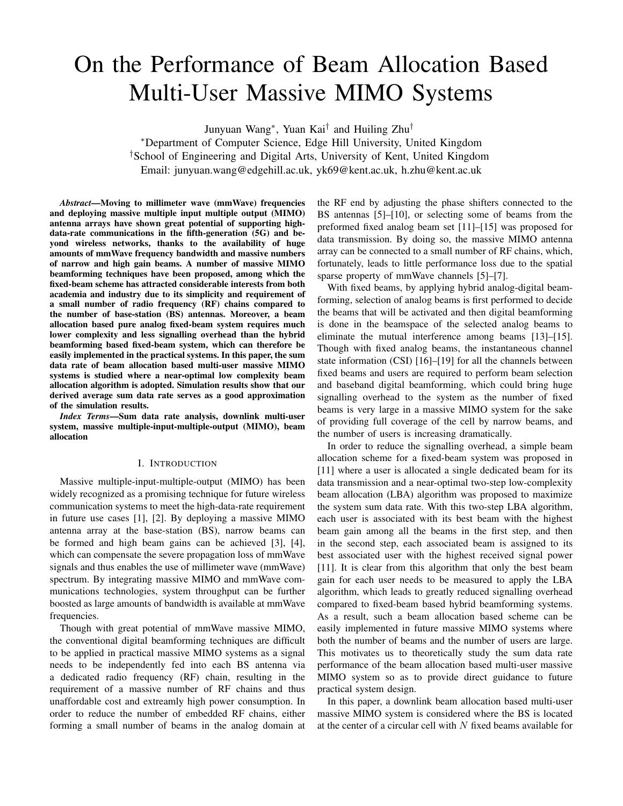# On the Performance of Beam Allocation Based Multi-User Massive MIMO Systems

Junyuan Wang<sup>∗</sup> , Yuan Kai† and Huiling Zhu†

<sup>∗</sup>Department of Computer Science, Edge Hill University, United Kingdom †School of Engineering and Digital Arts, University of Kent, United Kingdom Email: junyuan.wang@edgehill.ac.uk, yk69@kent.ac.uk, h.zhu@kent.ac.uk

*Abstract*—Moving to millimeter wave (mmWave) frequencies and deploying massive multiple input multiple output (MIMO) antenna arrays have shown great potential of supporting highdata-rate communications in the fifth-generation (5G) and beyond wireless networks, thanks to the availability of huge amounts of mmWave frequency bandwidth and massive numbers of narrow and high gain beams. A number of massive MIMO beamforming techniques have been proposed, among which the fixed-beam scheme has attracted considerable interests from both academia and industry due to its simplicity and requirement of a small number of radio frequency (RF) chains compared to the number of base-station (BS) antennas. Moreover, a beam allocation based pure analog fixed-beam system requires much lower complexity and less signalling overhead than the hybrid beamforming based fixed-beam system, which can therefore be easily implemented in the practical systems. In this paper, the sum data rate of beam allocation based multi-user massive MIMO systems is studied where a near-optimal low complexity beam allocation algorithm is adopted. Simulation results show that our derived average sum data rate serves as a good approximation of the simulation results.

*Index Terms*—Sum data rate analysis, downlink multi-user system, massive multiple-input-multiple-output (MIMO), beam allocation

#### I. INTRODUCTION

Massive multiple-input-multiple-output (MIMO) has been widely recognized as a promising technique for future wireless communication systems to meet the high-data-rate requirement in future use cases [1], [2]. By deploying a massive MIMO antenna array at the base-station (BS), narrow beams can be formed and high beam gains can be achieved [3], [4], which can compensate the severe propagation loss of mmWave signals and thus enables the use of millimeter wave (mmWave) spectrum. By integrating massive MIMO and mmWave communications technologies, system throughput can be further boosted as large amounts of bandwidth is available at mmWave frequencies.

Though with great potential of mmWave massive MIMO, the conventional digital beamforming techniques are difficult to be applied in practical massive MIMO systems as a signal needs to be independently fed into each BS antenna via a dedicated radio frequency (RF) chain, resulting in the requirement of a massive number of RF chains and thus unaffordable cost and extreamly high power consumption. In order to reduce the number of embedded RF chains, either forming a small number of beams in the analog domain at

the RF end by adjusting the phase shifters connected to the BS antennas [5]–[10], or selecting some of beams from the preformed fixed analog beam set [11]–[15] was proposed for data transmission. By doing so, the massive MIMO antenna array can be connected to a small number of RF chains, which, fortunately, leads to little performance loss due to the spatial sparse property of mmWave channels [5]–[7].

With fixed beams, by applying hybrid analog-digital beamforming, selection of analog beams is first performed to decide the beams that will be activated and then digital beamforming is done in the beamspace of the selected analog beams to eliminate the mutual interference among beams [13]–[15]. Though with fixed analog beams, the instantaneous channel state information (CSI) [16]–[19] for all the channels between fixed beams and users are required to perform beam selection and baseband digital beamforming, which could bring huge signalling overhead to the system as the number of fixed beams is very large in a massive MIMO system for the sake of providing full coverage of the cell by narrow beams, and the number of users is increasing dramatically.

In order to reduce the signalling overhead, a simple beam allocation scheme for a fixed-beam system was proposed in [11] where a user is allocated a single dedicated beam for its data transmission and a near-optimal two-step low-complexity beam allocation (LBA) algorithm was proposed to maximize the system sum data rate. With this two-step LBA algorithm, each user is associated with its best beam with the highest beam gain among all the beams in the first step, and then in the second step, each associated beam is assigned to its best associated user with the highest received signal power [11]. It is clear from this algorithm that only the best beam gain for each user needs to be measured to apply the LBA algorithm, which leads to greatly reduced signalling overhead compared to fixed-beam based hybrid beamforming systems. As a result, such a beam allocation based scheme can be easily implemented in future massive MIMO systems where both the number of beams and the number of users are large. This motivates us to theoretically study the sum data rate performance of the beam allocation based multi-user massive MIMO system so as to provide direct guidance to future practical system design.

In this paper, a downlink beam allocation based multi-user massive MIMO system is considered where the BS is located at the center of a circular cell with  $N$  fixed beams available for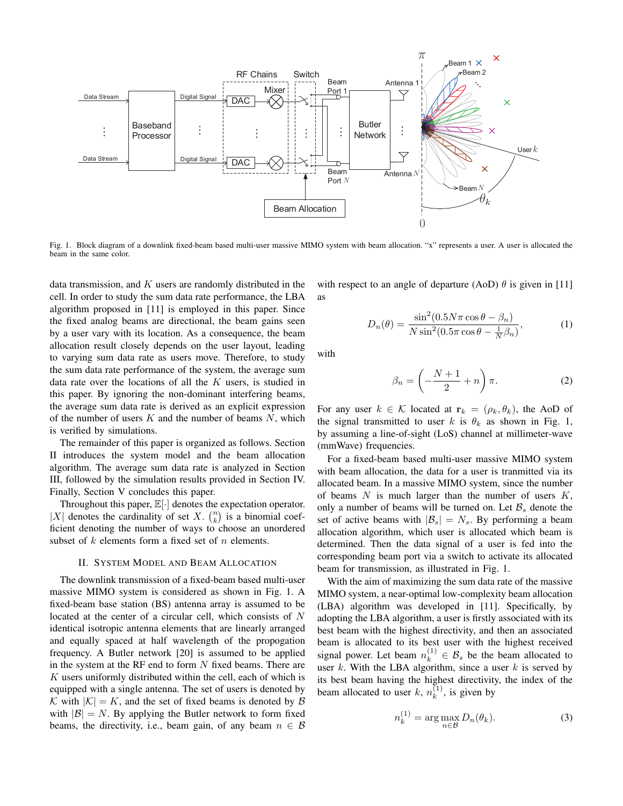

Fig. 1. Block diagram of a downlink fixed-beam based multi-user massive MIMO system with beam allocation. "x" represents a user. A user is allocated the beam in the same color.

data transmission, and  $K$  users are randomly distributed in the cell. In order to study the sum data rate performance, the LBA algorithm proposed in [11] is employed in this paper. Since the fixed analog beams are directional, the beam gains seen by a user vary with its location. As a consequence, the beam allocation result closely depends on the user layout, leading to varying sum data rate as users move. Therefore, to study the sum data rate performance of the system, the average sum data rate over the locations of all the  $K$  users, is studied in this paper. By ignoring the non-dominant interfering beams, the average sum data rate is derived as an explicit expression of the number of users  $K$  and the number of beams  $N$ , which is verified by simulations.

The remainder of this paper is organized as follows. Section II introduces the system model and the beam allocation algorithm. The average sum data rate is analyzed in Section III, followed by the simulation results provided in Section IV. Finally, Section V concludes this paper.

Throughout this paper,  $\mathbb{E}[\cdot]$  denotes the expectation operator. |X| denotes the cardinality of set X.  $\binom{n}{k}$  is a binomial coefficient denoting the number of ways to choose an unordered subset of  $k$  elements form a fixed set of  $n$  elements.

#### II. SYSTEM MODEL AND BEAM ALLOCATION

The downlink transmission of a fixed-beam based multi-user massive MIMO system is considered as shown in Fig. 1. A fixed-beam base station (BS) antenna array is assumed to be located at the center of a circular cell, which consists of N identical isotropic antenna elements that are linearly arranged and equally spaced at half wavelength of the propogation frequency. A Butler network [20] is assumed to be applied in the system at the RF end to form  $N$  fixed beams. There are  $K$  users uniformly distributed within the cell, each of which is equipped with a single antenna. The set of users is denoted by K with  $|\mathcal{K}| = K$ , and the set of fixed beams is denoted by  $\beta$ with  $|\mathcal{B}| = N$ . By applying the Butler network to form fixed beams, the directivity, i.e., beam gain, of any beam  $n \in \mathcal{B}$ 

with respect to an angle of departure (AoD)  $\theta$  is given in [11] as

$$
D_n(\theta) = \frac{\sin^2(0.5N\pi\cos\theta - \beta_n)}{N\sin^2(0.5\pi\cos\theta - \frac{1}{N}\beta_n)},
$$
(1)

with

$$
\beta_n = \left(-\frac{N+1}{2} + n\right)\pi.
$$
 (2)

For any user  $k \in \mathcal{K}$  located at  $\mathbf{r}_k = (\rho_k, \theta_k)$ , the AoD of the signal transmitted to user k is  $\theta_k$  as shown in Fig. 1, by assuming a line-of-sight (LoS) channel at millimeter-wave (mmWave) frequencies.

For a fixed-beam based multi-user massive MIMO system with beam allocation, the data for a user is tranmitted via its allocated beam. In a massive MIMO system, since the number of beams  $N$  is much larger than the number of users  $K$ , only a number of beams will be turned on. Let  $\mathcal{B}_s$  denote the set of active beams with  $|\mathcal{B}_s| = N_s$ . By performing a beam allocation algorithm, which user is allocated which beam is determined. Then the data signal of a user is fed into the corresponding beam port via a switch to activate its allocated beam for transmission, as illustrated in Fig. 1.

With the aim of maximizing the sum data rate of the massive MIMO system, a near-optimal low-complexity beam allocation (LBA) algorithm was developed in [11]. Specifically, by adopting the LBA algorithm, a user is firstly associated with its best beam with the highest directivity, and then an associated beam is allocated to its best user with the highest received signal power. Let beam  $n_k^{(1)} \in \mathcal{B}_s$  be the beam allocated to user  $k$ . With the LBA algorithm, since a user  $k$  is served by its best beam having the highest directivity, the index of the beam allocated to user k,  $n_k^{(1)}$  $\binom{1}{k}$ , is given by

$$
n_k^{(1)} = \arg\max_{n \in \mathcal{B}} D_n(\theta_k).
$$
 (3)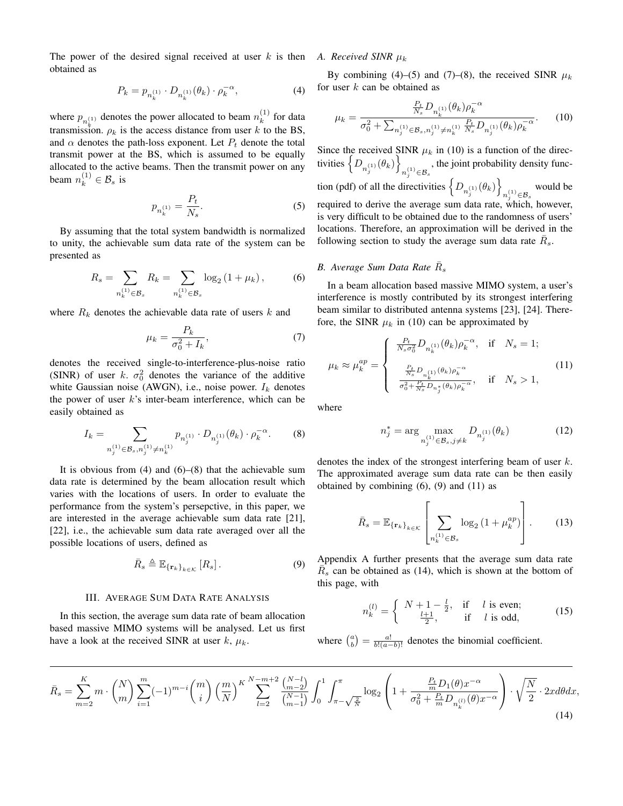The power of the desired signal received at user  $k$  is then A. Received SINR  $\mu_k$ obtained as

$$
P_k = p_{n_k^{(1)}} \cdot D_{n_k^{(1)}}(\theta_k) \cdot \rho_k^{-\alpha}, \tag{4}
$$

where  $p_{n_k^{(1)}}$  denotes the power allocated to beam  $n_k^{(1)}$ transmission.  $\rho_k$  is the access distance from user k to the BS,  $\binom{1}{k}$  for data and  $\alpha$  denotes the path-loss exponent. Let  $P_t$  denote the total transmit power at the BS, which is assumed to be equally allocated to the active beams. Then the transmit power on any beam  $n_k^{(1)} \in \mathcal{B}_s$  is

$$
p_{n_k^{(1)}} = \frac{P_t}{N_s}.\tag{5}
$$

By assuming that the total system bandwidth is normalized to unity, the achievable sum data rate of the system can be presented as

$$
R_s = \sum_{n_k^{(1)} \in \mathcal{B}_s} R_k = \sum_{n_k^{(1)} \in \mathcal{B}_s} \log_2 (1 + \mu_k), \tag{6}
$$

where  $R_k$  denotes the achievable data rate of users  $k$  and

$$
\mu_k = \frac{P_k}{\sigma_0^2 + I_k},\tag{7}
$$

denotes the received single-to-interference-plus-noise ratio (SINR) of user k.  $\sigma_0^2$  denotes the variance of the additive white Gaussian noise (AWGN), i.e., noise power.  $I_k$  denotes the power of user  $k$ 's inter-beam interference, which can be easily obtained as

$$
I_k = \sum_{n_j^{(1)} \in \mathcal{B}_s, n_j^{(1)} \neq n_k^{(1)}} p_{n_j^{(1)}} \cdot D_{n_j^{(1)}}(\theta_k) \cdot \rho_k^{-\alpha}.
$$
 (8)

It is obvious from  $(4)$  and  $(6)$ – $(8)$  that the achievable sum data rate is determined by the beam allocation result which varies with the locations of users. In order to evaluate the performance from the system's persepctive, in this paper, we are interested in the average achievable sum data rate [21], [22], i.e., the achievable sum data rate averaged over all the possible locations of users, defined as

$$
\bar{R}_s \triangleq \mathbb{E}_{\{\mathbf{r}_k\}_{k \in \mathcal{K}}} [R_s]. \tag{9}
$$

#### III. AVERAGE SUM DATA RATE ANALYSIS

In this section, the average sum data rate of beam allocation based massive MIMO systems will be analysed. Let us first have a look at the received SINR at user  $k$ ,  $\mu_k$ .

By combining (4)–(5) and (7)–(8), the received SINR  $\mu_k$ for user  $k$  can be obtained as

$$
\mu_k = \frac{\frac{P_t}{N_s} D_{n_k^{(1)}}(\theta_k) \rho_k^{-\alpha}}{\sigma_0^2 + \sum_{n_j^{(1)} \in \mathcal{B}_s, n_j^{(1)} \neq n_k^{(1)}} \frac{P_t}{N_s} D_{n_j^{(1)}}(\theta_k) \rho_k^{-\alpha}}.
$$
(10)

Since the received SINR  $\mu_k$  in (10) is a function of the directivities  $\left\{ D_{n_j^{(1)}}(\theta_k) \right\}$  $n_j^{(1)}{\in}\mathcal{B}_s$ , the joint probability density function (pdf) of all the directivities  $\left\{D_{n_j^{(1)}}(\theta_k)\right\}$  $n_j^{(1)}{\in}\mathcal{B}_s$ would be required to derive the average sum data rate, which, however, is very difficult to be obtained due to the randomness of users' locations. Therefore, an approximation will be derived in the following section to study the average sum data rate  $\bar{R}_s$ .

## B. Average Sum Data Rate  $\bar{R}_s$

In a beam allocation based massive MIMO system, a user's interference is mostly contributed by its strongest interfering beam similar to distributed antenna systems [23], [24]. Therefore, the SINR  $\mu_k$  in (10) can be approximated by

$$
\mu_{k} \approx \mu_{k}^{ap} = \begin{cases} \frac{P_{t}}{N_{s}\sigma_{0}^{2}} D_{n_{k}^{(1)}}(\theta_{k}) \rho_{k}^{-\alpha}, & \text{if} \quad N_{s} = 1; \\ \frac{P_{t}}{N_{s}} D_{n_{k}^{(1)}}(\theta_{k}) \rho_{k}^{-\alpha}, & \text{if} \quad N_{s} > 1, \\ \frac{P_{t}}{\sigma_{0}^{2} + \frac{P_{t}}{N_{s}} D_{n_{j}^{*}}(\theta_{k}) \rho_{k}^{-\alpha}}, & \text{if} \quad N_{s} > 1, \end{cases}
$$
(11)

where

$$
n_j^* = \arg\max_{n_j^{(1)} \in \mathcal{B}_s, j \neq k} D_{n_j^{(1)}}(\theta_k)
$$
 (12)

denotes the index of the strongest interfering beam of user k. The approximated average sum data rate can be then easily obtained by combining  $(6)$ ,  $(9)$  and  $(11)$  as

$$
\bar{R}_s = \mathbb{E}_{\{\mathbf{r}_k\}_{k \in \mathcal{K}}} \left[ \sum_{n_k^{(1)} \in \mathcal{B}_s} \log_2 \left( 1 + \mu_k^{ap} \right) \right]. \tag{13}
$$

Appendix A further presents that the average sum data rate  $\overline{R_s}$  can be obtained as (14), which is shown at the bottom of this page, with

$$
n_k^{(l)} = \begin{cases} N+1-\frac{l}{2}, & \text{if } l \text{ is even;}\\ \frac{l+1}{2}, & \text{if } l \text{ is odd,} \end{cases}
$$
 (15)

where  $\binom{a}{b} = \frac{a!}{b!(a-b)!}$  denotes the binomial coefficient.

$$
\bar{R}_s = \sum_{m=2}^{K} m \cdot {N \choose m} \sum_{i=1}^{m} (-1)^{m-i} {m \choose i} \left(\frac{m}{N}\right)^K \sum_{l=2}^{N-m+2} \frac{{N-l \choose m-2}}{{N-1 \choose m-1}} \int_0^1 \int_{\pi - \sqrt{\frac{2}{N}}}^{\pi} \log_2 \left(1 + \frac{P_t}{\sigma_0^2 + \frac{P_t}{m} D_{n_k^{(1)}}(\theta) x^{-\alpha}}\right) \cdot \sqrt{\frac{N}{2}} \cdot 2x d\theta dx,
$$
\n(14)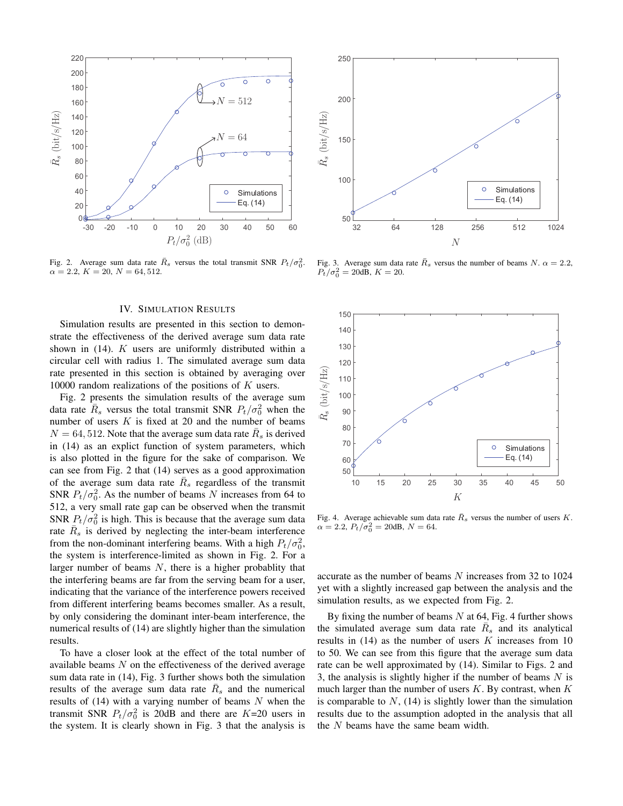

Fig. 2. Average sum data rate  $\overline{R}_s$  versus the total transmit SNR  $P_t/\sigma_0^2$ .  $\alpha = 2.2, K = 20, N = 64, 512.$ 

#### IV. SIMULATION RESULTS

Simulation results are presented in this section to demonstrate the effectiveness of the derived average sum data rate shown in (14). K users are uniformly distributed within a circular cell with radius 1. The simulated average sum data rate presented in this section is obtained by averaging over 10000 random realizations of the positions of  $K$  users.

Fig. 2 presents the simulation results of the average sum data rate  $\overline{R}_s$  versus the total transmit SNR  $P_t/\sigma_0^2$  when the number of users  $K$  is fixed at 20 and the number of beams  $N = 64, 512$ . Note that the average sum data rate  $\overline{R}_s$  is derived in (14) as an explict function of system parameters, which is also plotted in the figure for the sake of comparison. We can see from Fig. 2 that (14) serves as a good approximation of the average sum data rate  $\bar{R}_s$  regardless of the transmit SNR  $P_t/\sigma_0^2$ . As the number of beams N increases from 64 to 512, a very small rate gap can be observed when the transmit SNR  $P_t/\sigma_0^2$  is high. This is because that the average sum data rate  $\overline{R}_s$  is derived by neglecting the inter-beam interference from the non-dominant interfering beams. With a high  $P_t/\sigma_0^2$ , the system is interference-limited as shown in Fig. 2. For a larger number of beams  $N$ , there is a higher probablity that the interfering beams are far from the serving beam for a user, indicating that the variance of the interference powers received from different interfering beams becomes smaller. As a result, by only considering the dominant inter-beam interference, the numerical results of (14) are slightly higher than the simulation results.

To have a closer look at the effect of the total number of available beams  $N$  on the effectiveness of the derived average sum data rate in (14), Fig. 3 further shows both the simulation results of the average sum data rate  $\overline{R}_s$  and the numerical results of  $(14)$  with a varying number of beams N when the transmit SNR  $P_t/\sigma_0^2$  is 20dB and there are  $K=20$  users in the system. It is clearly shown in Fig. 3 that the analysis is



Fig. 3. Average sum data rate  $\bar{R}_s$  versus the number of beams N.  $\alpha = 2.2$ ,  $P_t/\sigma_0^2 = 20$ dB,  $K = 20$ .



Fig. 4. Average achievable sum data rate  $\bar{R}_s$  versus the number of users K.  $\alpha = 2.2, P_t/\sigma_0^2 = 20$ dB,  $N = 64$ .

accurate as the number of beams N increases from 32 to 1024 yet with a slightly increased gap between the analysis and the simulation results, as we expected from Fig. 2.

By fixing the number of beams  $N$  at 64, Fig. 4 further shows the simulated average sum data rate  $\overline{R}_s$  and its analytical results in  $(14)$  as the number of users K increases from 10 to 50. We can see from this figure that the average sum data rate can be well approximated by (14). Similar to Figs. 2 and 3, the analysis is slightly higher if the number of beams  $N$  is much larger than the number of users  $K$ . By contrast, when  $K$ is comparable to  $N$ , (14) is slightly lower than the simulation results due to the assumption adopted in the analysis that all the  $N$  beams have the same beam width.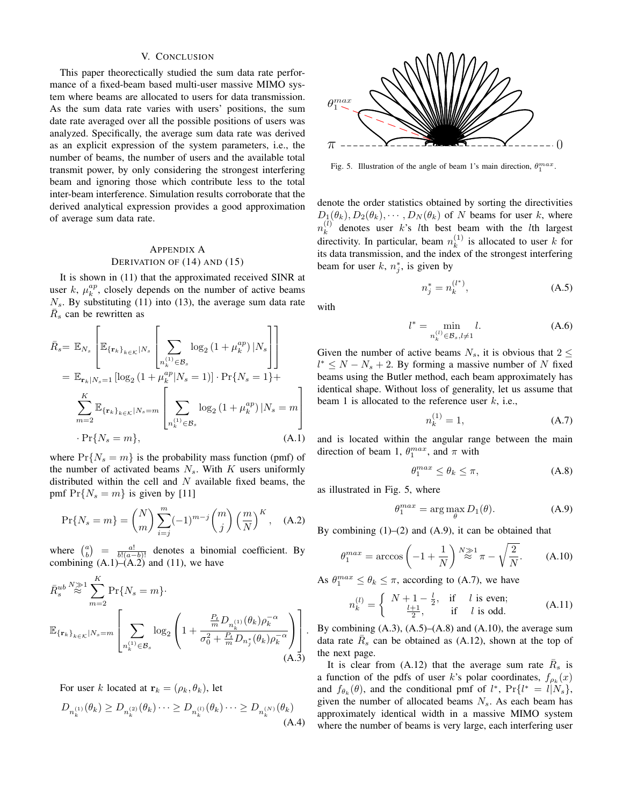#### V. CONCLUSION

This paper theorectically studied the sum data rate performance of a fixed-beam based multi-user massive MIMO system where beams are allocated to users for data transmission. As the sum data rate varies with users' positions, the sum date rate averaged over all the possible positions of users was analyzed. Specifically, the average sum data rate was derived as an explicit expression of the system parameters, i.e., the number of beams, the number of users and the available total transmit power, by only considering the strongest interfering beam and ignoring those which contribute less to the total inter-beam interference. Simulation results corroborate that the derived analytical expression provides a good approximation of average sum data rate.

### APPENDIX A DERIVATION OF (14) AND (15)

It is shown in (11) that the approximated received SINR at user k,  $\mu_k^{ap}$ , closely depends on the number of active beams  $N<sub>s</sub>$ . By substituting (11) into (13), the average sum data rate  $\overline{R}_s$  can be rewritten as

$$
\bar{R}_{s} = \mathbb{E}_{N_{s}} \left[ \mathbb{E}_{\{\mathbf{r}_{k}\}_{k \in \mathcal{K}}|N_{s}} \left[ \sum_{n_{k}^{(1)} \in \mathcal{B}_{s}} \log_{2} (1 + \mu_{k}^{ap}) |N_{s} \right] \right]
$$
\n
$$
= \mathbb{E}_{\mathbf{r}_{k}|N_{s}=1} \left[ \log_{2} (1 + \mu_{k}^{ap} |N_{s}=1) \right] \cdot \Pr\{N_{s}=1\} + \sum_{m=2}^{K} \mathbb{E}_{\{\mathbf{r}_{k}\}_{k \in \mathcal{K}}|N_{s}=m} \left[ \sum_{n_{k}^{(1)} \in \mathcal{B}_{s}} \log_{2} (1 + \mu_{k}^{ap}) |N_{s}=m \right]
$$
\n
$$
\cdot \Pr\{N_{s}=m\}, \tag{A.1}
$$

where  $Pr\{N_s = m\}$  is the probability mass function (pmf) of the number of activated beams  $N_s$ . With K users uniformly distributed within the cell and  $N$  available fixed beams, the pmf  $Pr{N_s = m}$  is given by [11]

$$
\Pr\{N_s = m\} = \binom{N}{m} \sum_{i=j}^{m} (-1)^{m-j} \binom{m}{j} \left(\frac{m}{N}\right)^K, \quad \text{(A.2)}
$$

where  $\binom{a}{b} = \frac{a!}{b!(a-b)!}$  denotes a binomial coefficient. By combining  $(A.1)$ – $(A.2)$  and  $(11)$ , we have

$$
\bar{R}_{s}^{ub} \stackrel{N \gg 1}{\approx} \sum_{m=2}^{K} \Pr\{N_{s} = m\}.
$$
\n
$$
\mathbb{E}_{\{\mathbf{r}_{k}\}_{k \in \mathcal{K}}|N_{s} = m} \left[ \sum_{n_{k}^{(1)} \in \mathcal{B}_{s}} \log_{2} \left( 1 + \frac{\frac{P_{t}}{m} D_{n_{k}^{(1)}}(\theta_{k}) \rho_{k}^{-\alpha}}{\sigma_{0}^{2} + \frac{P_{t}}{m} D_{n_{j}^{*}}(\theta_{k}) \rho_{k}^{-\alpha}} \right) \right].
$$
\n(A.3)

For user k located at  $\mathbf{r}_k = (\rho_k, \theta_k)$ , let

$$
D_{n_k^{(1)}}(\theta_k) \ge D_{n_k^{(2)}}(\theta_k) \cdots \ge D_{n_k^{(l)}}(\theta_k) \cdots \ge D_{n_k^{(N)}}(\theta_k)
$$
\n(A.4)



Fig. 5. Illustration of the angle of beam 1's main direction,  $\theta_1^{max}$ .

denote the order statistics obtained by sorting the directivities  $D_1(\theta_k), D_2(\theta_k), \cdots, D_N(\theta_k)$  of N beams for user k, where  $n_k^{(l)}$  $\lambda_k^{(t)}$  denotes user k's lth best beam with the lth largest directivity. In particular, beam  $n_k^{(1)}$  $\binom{1}{k}$  is allocated to user k for its data transmission, and the index of the strongest interfering beam for user k,  $n_j^*$ , is given by

$$
n_j^* = n_k^{(l^*)},
$$
\n(A.5)

with

$$
l^* = \min_{n_k^{(l)} \in \mathcal{B}_s, l \neq 1} l.
$$
 (A.6)

Given the number of active beams  $N_s$ , it is obvious that  $2 \leq$  $l^* \leq N - N_s + 2$ . By forming a massive number of N fixed beams using the Butler method, each beam approximately has identical shape. Without loss of generality, let us assume that beam 1 is allocated to the reference user  $k$ , i.e.,

$$
n_k^{(1)} = 1,\t(A.7)
$$

and is located within the angular range between the main direction of beam 1,  $\theta_1^{max}$ , and  $\pi$  with

$$
\theta_1^{max} \le \theta_k \le \pi,\tag{A.8}
$$

as illustrated in Fig. 5, where

$$
\theta_1^{max} = \arg\max_{\theta} D_1(\theta). \tag{A.9}
$$

By combining  $(1)$ – $(2)$  and  $(A.9)$ , it can be obtained that

$$
\theta_1^{max} = \arccos\left(-1 + \frac{1}{N}\right)^N \gtrapprox^1 \pi - \sqrt{\frac{2}{N}}.\tag{A.10}
$$

As  $\theta_1^{max} \leq \theta_k \leq \pi$ , according to (A.7), we have

$$
n_k^{(l)} = \begin{cases} N+1-\frac{l}{2}, & \text{if } l \text{ is even;}\\ \frac{l+1}{2}, & \text{if } l \text{ is odd.} \end{cases}
$$
 (A.11)

By combining  $(A.3)$ ,  $(A.5)$ – $(A.8)$  and  $(A.10)$ , the average sum data rate  $\overline{R}_s$  can be obtained as (A.12), shown at the top of the next page.

It is clear from (A.12) that the average sum rate  $\bar{R}_s$  is a function of the pdfs of user k's polar coordinates,  $f_{\rho_k}(x)$ and  $f_{\theta_k}(\theta)$ , and the conditional pmf of  $l^*$ ,  $Pr\{l^* = l | N_s\}$ , given the number of allocated beams  $N<sub>s</sub>$ . As each beam has approximately identical width in a massive MIMO system where the number of beams is very large, each interfering user